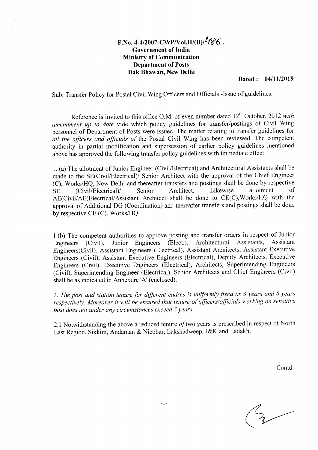## F.No. 4-4/2007-CWP/Vol.II/(B)/ $\frac{4}{8}$  6. Government of India Ministry of Communication Department of Posts Dak Bhawan, New Delhi

## Dated : 04/11/2019

Sub: Transfer Policy for Postal Civil Wing Officers and Officials -lssue of guidelines.

Reference is invited to this office O.M. of even number dated  $12<sup>th</sup>$  October, 2012 with amendment up to date vide which policy guidelines for transfer/postings of Civil Wing personnel of Department of Posts were issued. The matter relating to transfer guidelines for all the officers and officials of the Postal Civil Wing has been reviewed. The competent authority in partial modification and supersession of earlier policy guidelines mentioned above has approved the following transfer policy guidelines with imrnediate effect.

1. (a) The allotment of Junior Engineer (Civil/Electrical) and Architectural Assistants shall be made to the SE(Civil/Electrical)/ Senior Architect with the approval of the Chief Engineer (C), Works/HQ, New Delhi and thereafter transfers and postings shall be done by respective<br>SE (Civil/Electrical)/ Senior Architect. Likewise allotment of SE (Civil/Electrical)/ Senior AE(Civil/AE(Electrical/Assistant Architect shall be done to CE(C),Works/HQ with the approval of Additional DG (Coordination) and thereafter transfers and postings shall be done by respective CE (C), Works/HQ.

l.(b) The competent authorities to approve posting and transfer orders in respect of Junior Engineers (Civil), Junior Engineers (Elect.), Engineers(Civil), Assistant Engineers (Electrical), Assistant Architects, Assistant Executive Engineers (Civil), Assistant Executive Engineers (Electrical), Deputy Architects, Executive Engineers (Civil), Executive Engineers (Electrical), Architects, Superintending Engineers (Civil), Superintending Engineer (Electrical), Senior Architects and Chief Engineers (Civil) shall be as indicated in Annexure'A' (enclosed).

2. The post and station tenure for different cadres is uniformly fixed as 3 years and 6 years respectively. Moreover it will be ensured that tenure of officers/officials working on sensitive post does not under any circumstances exceed 3 years.

2.1 Notwithstanding the above a reduced tenure  $of$  two years is prescribed in respect of North East Region, Sikkim, Andaman & Nicobar, Lakshadweep, J&K and Ladakh.

Contd:-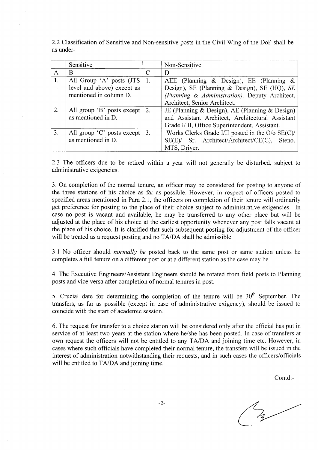2.2 Classification of Sensitive and Non-sensitive posts in the Civil Wing of the DoP shall be as under-

|                  | Sensitive                      |    | Non-Sensitive                                    |  |
|------------------|--------------------------------|----|--------------------------------------------------|--|
|                  | B                              |    | Ð                                                |  |
| $\mathbf{1}$ .   | All Group 'A' posts (JTS       | 1. | AEE (Planning & Design), EE (Planning $\&$       |  |
|                  | level and above) except as     |    | Design), SE (Planning & Design), SE (HQ), SE     |  |
|                  | mentioned in column D.         |    | (Planning & Administration), Deputy Architect,   |  |
|                  |                                |    | Architect, Senior Architect.                     |  |
| 2.               | All group 'B' posts except     | 2. | JE (Planning & Design), AE (Planning & Design)   |  |
|                  | as mentioned in D.             |    | and Assistant Architect, Architectural Assistant |  |
|                  |                                |    | Grade I/ II, Office Superintendent, Assistant.   |  |
| $\overline{3}$ . | All group 'C' posts except $ $ | 3. | Works Clerks Grade I/II posted in the O/o SE(C)/ |  |
|                  | as mentioned in D.             |    | SE(E)/ Sr. Architect/Architect/CE(C), Steno,     |  |
|                  |                                |    | MTS, Driver.                                     |  |

2.3 The officers due to be retired within a year will not generally be disturbed, subject to administrative exigencies.

3. On completion of the normal tenure, an officer may be considered for posting to anyone of the three stations of his choice as far as possible. However, in respect of officers posted to specified areas mentioned in Para 2.1, the officers on completion of their tenure will ordinarily get preference for posting to the place of their choice subject to administrative exigencies. In case no post is vacant and available, he may be transferred to any other place but will be adjusted at the place of his choice at the earliest opportunity whenever any post falls vacant at the place of his choice. It is clarified that such subsequent posting for adjustment of the officer will be treated as a request posting and no TA/DA shall be admissible.

3.1 No officer should *normally be* posted back to the same post or same station unless he completes a full tenure on a different post or at a different station as the case may be.

4. The Executive Engineers/Assistant Engineers should be rotated from field posts to Planning posts and vice versa after completion of normal tenures in post.

5. Crucial date for determining the completion of the tenure will be  $30<sup>th</sup>$  September. The transfers, as far as possible (except in case of adrninistrative exigency), should be issued to coincide with the start of academic session.

6. The request for transfer to a choice station will be considered only after the official has put in service of at least two years at the station where he/she has been posted. In case of transfers at own request the officers will not be entitled to any TA/DA and joining time etc. However, in cases where such officials have completed their normal tenure, the transfers will be issued in the interest of administration notwithstanding their requests, and in such cases the officers/officials will be entitled to TA/DA and joining time.

Contd:-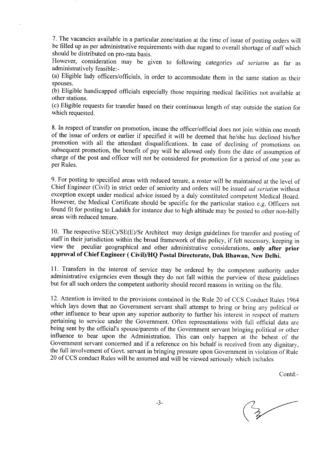7. The vacancies available in a particular zone/station at the time of issue of posting orders will be filled up as per administrative requirements with due regard to overall shortage of staff which should be distributed on pro-rata basis.

However, consideration may be given to following categories  $ad$  seriatim as far as administratively feasible: -

(a) Eligible lady officers/officials, in order to accommodate them in the same station as their spouses.

(b) Eligible handicapped officials especially those requiring medical facilities not available at other stations.

(c) Eligible requests for transfer based on their continuous length of stay outside the station for which requested.

8. In respect of transfer on promotion, incase the officer/official does not join within one month of the issue of orders or earlier if specified it will be deemed that he/she has declined his/her promotion with all the attendant disqualifications. In case of declining of promotions on subsequent promotion, the benefit of pay will be allowed only from the date of assumption of charge of the post and officer will not be considered for promotion for a period of one year as per Rules.

9. For posting to specified areas with reduced tenure, a roster will be maintained at the level of Chief Engineer (Civil) in strict order of seniority and orders will be issued ad seriatim without exception except under medical advice issued by a duly constituted competent Medical Board. However, the Medical Certificate should be specific for the particular station e.g. Officers not found fit for posting to Ladakh for instance due to high altitude may be posted to other non-hilly areas with reduced tenure.

10. The respective SE(C)/SE(E)/Sr Architect may design guidelines for transfer and posting of staff in their jurisdiction within the broad framework of this policy, if felt necessary, keeping in view the peculiar geographical and other administrative considerations, only after prior approval of Chief Engineer ( Civil)/HQ Postal Directorate, Dak Bhawan, New Delhi.

<sup>I</sup>1. Transfers in the interest of service may be ordered by the competent authority under administrative exigencies even though they do not fall within the purview of these guidelines but for all such orders the competent authority should record reasons in writing on the file.

12. Attention is invited to the provisions contained in the Rule 20 of CCS Conduct Rules <sup>1964</sup> which lays down that no Government servant shall attempt to bring or bring any political or other influence to bear upon any superior authority to further his interest in respect of matters pertaining to service under the Government. Often representations with full official data are being sent by the official's spouse/parents of the Government servant bringing political or other influence to bear upon the Administration. This can only happen at the behest of the Government servant concerned and if a reference on his behalf is received from any dignitary, the full involvement of Govt. servant in bringing pressure upon Government in violation of Rule 20 of CCS conduct Rules will be assumed and will be viewed seriously which includes

Contd:-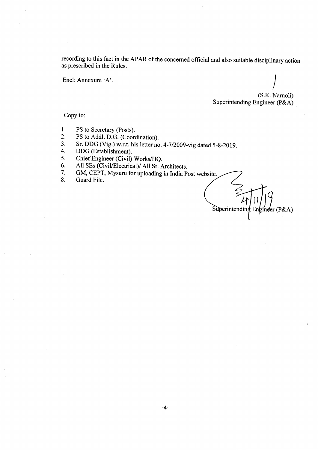recording to this fact in the APAR of the concerned official and also suitable disciplinary action as prescribed in the Rules.

Encl: Annexure 'A'.

(S.K. Narnoli) Superintending Engineer (P&A)  $\overline{I}$ 

Copy to:

- t. PS to Secretary (Posts).
- 2. PS to Addl. D.G. (Coordination).
- 3. Sr. DDG (Vig.) w.r.t. his letter no. 4-7/2009-vig dated 5-8-2019.
- 4. DDG (Establishment).
- 5. Chief Engineer (Civil) Works/FIQ.
- 6. All SEs (Civil/Electrical)/ All Sr. Architects.
- 7. GM, CEPT, Mysuru for uploading in India post website.
- 8. Guard File.

ll Superintending Enginger (P&A)